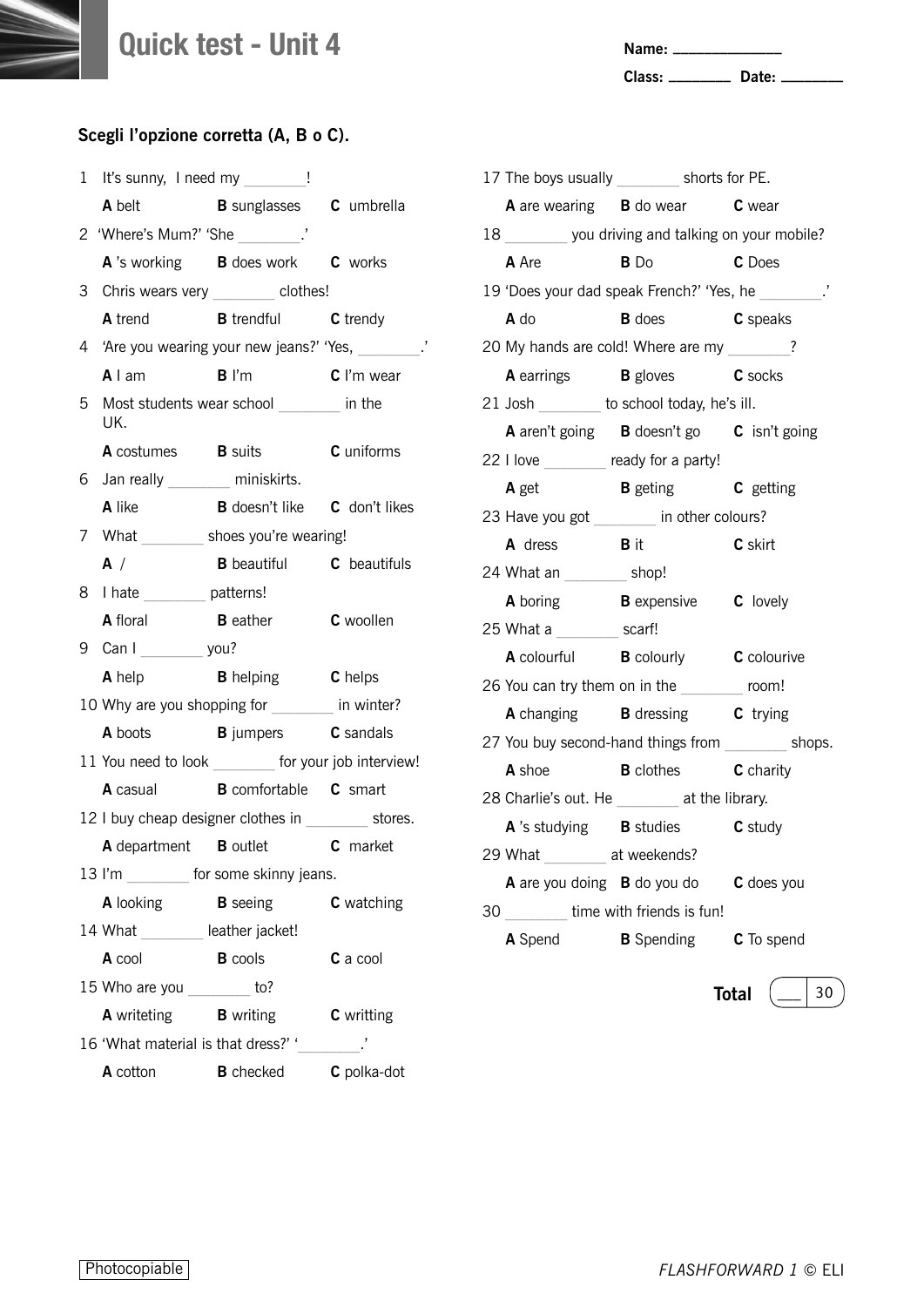**Name: \_\_\_\_\_\_\_\_\_\_\_\_\_\_**

**Class: \_\_\_\_\_\_\_\_ Date: \_\_\_\_\_\_\_\_**

|        | 1 It's sunny, I need my _______!    |                                                       |                   |
|--------|-------------------------------------|-------------------------------------------------------|-------------------|
|        | A belt                              | <b>B</b> sunglasses <b>C</b> umbrella                 |                   |
|        | 2 'Where's Mum?' 'She _________.'   |                                                       |                   |
|        |                                     | A 's working B does work C works                      |                   |
|        |                                     | 3 Chris wears very _______ clothes!                   |                   |
|        |                                     | A trend B trendful C trendy                           |                   |
|        |                                     | 4 'Are you wearing your new jeans?' 'Yes, ________.'  |                   |
|        | A I am B I'm                        |                                                       | $C$ I'm wear      |
| 5      | UK.                                 | Most students wear school _______ in the              |                   |
|        | <b>A</b> costumes <b>B</b> suits    |                                                       | <b>C</b> uniforms |
|        | 6 Jan really ________ miniskirts.   |                                                       |                   |
|        | A like                              | <b>B</b> doesn't like <b>C</b> don't likes            |                   |
|        |                                     | 7 What __________ shoes you're wearing!               |                   |
|        | A /                                 | <b>B</b> beautiful <b>C</b> beautifuls                |                   |
|        | 8 I hate ________ patterns!         |                                                       |                   |
|        | <b>A</b> floral                     | <b>B</b> eather                                       | <b>C</b> woollen  |
|        | 9 Can I _________ you?              |                                                       |                   |
|        |                                     | A help <b>B</b> helping <b>C</b> helps                |                   |
|        |                                     | 10 Why are you shopping for _______ in winter?        |                   |
|        |                                     | <b>A</b> boots <b>B</b> jumpers <b>C</b> sandals      |                   |
|        |                                     | 11 You need to look ________ for your job interview!  |                   |
|        |                                     | A casual B comfortable C smart                        |                   |
|        |                                     | 12 I buy cheap designer clothes in __________ stores. |                   |
|        |                                     | A department B outlet C market                        |                   |
| 13 l'm |                                     | for some skinny jeans.                                |                   |
|        | <b>A</b> looking                    | <b>B</b> seeing                                       | C watching        |
|        | 14 What ________ leather jacket!    |                                                       |                   |
|        | <b>A</b> cool                       | <b>B</b> cools                                        | C a cool          |
|        | 15 Who are you ________             | to?                                                   |                   |
|        | <b>A</b> writeting <b>B</b> writing |                                                       | <b>C</b> writting |
|        | 16 'What material is that dress?' ' |                                                       |                   |
|        | <b>A</b> cotton                     | <b>B</b> checked                                      | C polka-dot       |
|        |                                     |                                                       |                   |

|    |                                                      | 17 The boys usually _________ shorts for PE. |                    |  |
|----|------------------------------------------------------|----------------------------------------------|--------------------|--|
|    | <b>A</b> are wearing <b>B</b> do wear <b>C</b> wear  |                                              |                    |  |
|    | 18 _______ you driving and talking on your mobile?   |                                              |                    |  |
|    | <b>A</b> Are                                         | $B$ Do                                       | <b>C</b> Does      |  |
|    | 19 'Does your dad speak French?' 'Yes, he ________.' |                                              |                    |  |
|    | A do                                                 | <b>B</b> does <b>C</b> speaks                |                    |  |
|    | 20 My hands are cold! Where are my _______?          |                                              |                    |  |
|    | A earrings B gloves C socks                          |                                              |                    |  |
|    | 21 Josh ________ to school today, he's ill.          |                                              |                    |  |
|    | A aren't going B doesn't go C isn't going            |                                              |                    |  |
|    | 22 I love _______ ready for a party!                 |                                              |                    |  |
|    | A get                                                | <b>B</b> geting <b>C</b> getting             |                    |  |
|    | 23 Have you got ________ in other colours?           |                                              |                    |  |
|    | A dress B it C skirt                                 |                                              |                    |  |
|    | 24 What an _________ shop!                           |                                              |                    |  |
|    | A boring <b>B</b> expensive <b>C</b> lovely          |                                              |                    |  |
|    | 25 What a _________ scarf!                           |                                              |                    |  |
|    | A colourful B colourly C colourive                   |                                              |                    |  |
|    | 26 You can try them on in the ________ room!         |                                              |                    |  |
|    | A changing B dressing C trying                       |                                              |                    |  |
|    | 27 You buy second-hand things from _________ shops.  |                                              |                    |  |
|    | A shoe <b>B</b> clothes <b>C</b> charity             |                                              |                    |  |
|    | 28 Charlie's out. He ________ at the library.        |                                              |                    |  |
|    | A 's studying B studies C study                      |                                              |                    |  |
|    | 29 What ________ at weekends?                        |                                              |                    |  |
|    | A are you doing <b>B</b> do you do <b>C</b> does you |                                              |                    |  |
| 30 | time with friends is fun!                            |                                              |                    |  |
|    | A Spend                                              | <b>B</b> Spending                            | C To spend         |  |
|    |                                                      |                                              |                    |  |
|    |                                                      |                                              | <b>Total</b><br>30 |  |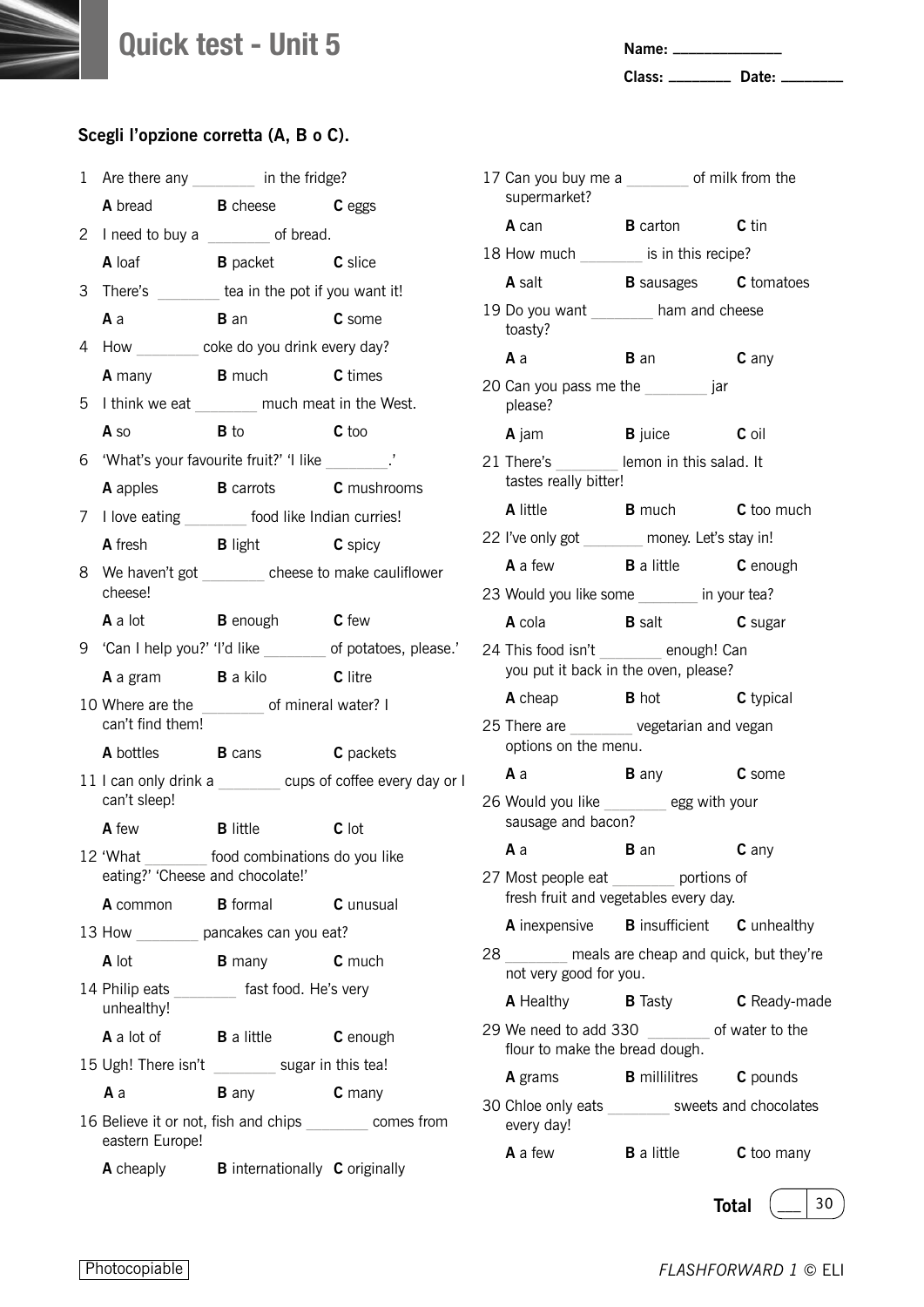**Name: \_\_\_\_\_\_\_\_\_\_\_\_\_\_**

**Class: \_\_\_\_\_\_\_\_ Date: \_\_\_\_\_\_\_\_**

#### **Scegli l'opzione corretta (A, B o C).**

| 1 |                                     | Are there any ________ in the fridge?              |                                                              |  |
|---|-------------------------------------|----------------------------------------------------|--------------------------------------------------------------|--|
|   |                                     | A bread B cheese C eggs                            |                                                              |  |
|   |                                     | 2 I need to buy a _______ of bread.                |                                                              |  |
|   |                                     | A loaf B packet C slice                            |                                                              |  |
|   |                                     | 3 There's _______ tea in the pot if you want it!   |                                                              |  |
|   | $A$ a                               | <b>B</b> an                                        | C some                                                       |  |
|   |                                     | 4 How coke do you drink every day?                 |                                                              |  |
|   |                                     | A many B much C times                              |                                                              |  |
|   |                                     | 5 I think we eat _______ much meat in the West.    |                                                              |  |
|   | A so                                | $\mathbf B$ to                                     | <b>C</b> too                                                 |  |
|   |                                     | 6 'What's your favourite fruit?' 'I like           |                                                              |  |
|   |                                     | A apples <b>B</b> carrots <b>C</b> mushrooms       |                                                              |  |
|   |                                     | 7 I love eating ________ food like Indian curries! |                                                              |  |
|   |                                     | A fresh <b>B</b> light <b>C</b> spicy              |                                                              |  |
|   | cheese!                             |                                                    | 8 We haven't got cheese to make cauliflower                  |  |
|   |                                     | <b>A</b> a lot <b>B</b> enough <b>C</b> few        |                                                              |  |
|   |                                     |                                                    | 9 'Can I help you?' 'I'd like ________ of potatoes, please.' |  |
|   |                                     | A a gram B a kilo C litre                          |                                                              |  |
|   | can't find them!                    | 10 Where are the _________ of mineral water? I     |                                                              |  |
|   |                                     | <b>A</b> bottles <b>B</b> cans                     | C packets                                                    |  |
|   | can't sleep!                        |                                                    | 11 I can only drink a _______ cups of coffee every day or I  |  |
|   |                                     | A few <b>B</b> little                              | C lot                                                        |  |
|   | eating?' 'Cheese and chocolate!'    | 12 'What ________ food combinations do you like    |                                                              |  |
|   | <b>A</b> common                     | <b>B</b> formal                                    | C unusual                                                    |  |
|   |                                     | 13 How _________ pancakes can you eat?             |                                                              |  |
|   | A lot                               | <b>B</b> many                                      | C much                                                       |  |
|   | 14 Philip eats<br>unhealthy!        | fast food. He's very                               |                                                              |  |
|   | <b>A</b> a lot of <b>B</b> a little |                                                    | C enough                                                     |  |
|   |                                     | 15 Ugh! There isn't ________ sugar in this tea!    |                                                              |  |
|   | Аa                                  | <b>B</b> any                                       | C many                                                       |  |
|   | eastern Europe!                     |                                                    | 16 Believe it or not, fish and chips ________ comes from     |  |
|   | <b>A</b> cheaply                    | <b>B</b> internationally <b>C</b> originally       |                                                              |  |

| 17 Can you buy me a _______ of milk from the<br>supermarket?                      |                                      |                   |
|-----------------------------------------------------------------------------------|--------------------------------------|-------------------|
| A can                                                                             | <b>B</b> carton <b>C</b> tin         |                   |
| 18 How much _________ is in this recipe?                                          |                                      |                   |
| <b>A</b> salt                                                                     | <b>B</b> sausages <b>C</b> tomatoes  |                   |
| 19 Do you want ________ ham and cheese<br>toasty?                                 |                                      |                   |
| Аa                                                                                | <b>B</b> an                          | C any             |
| 20 Can you pass me the same said<br>please?                                       |                                      |                   |
| <b>A</b> jam                                                                      | <b>B</b> juice <b>C</b> oil          |                   |
| 21 There's lemon in this salad. It<br>tastes really bitter!                       |                                      |                   |
| A little                                                                          | <b>B</b> much <b>C</b> too much      |                   |
| 22 I've only got _______ money. Let's stay in!                                    |                                      |                   |
| <b>A</b> a few <b>B</b> a little                                                  |                                      | C enough          |
| 23 Would you like some _______ in your tea?                                       |                                      |                   |
| A cola                                                                            | <b>B</b> salt                        | C sugar           |
| 24 This food isn't ________ enough! Can<br>you put it back in the oven, please?   |                                      |                   |
| <b>A</b> cheap                                                                    | <b>B</b> hot                         | C typical         |
| 25 There are _______ vegetarian and vegan<br>options on the menu.                 |                                      |                   |
| Аa                                                                                | <b>B</b> any                         | <b>C</b> some     |
| 26 Would you like _______ egg with your<br>sausage and bacon?                     |                                      |                   |
| A a B an C any                                                                    |                                      |                   |
| 27 Most people eat _________ portions of<br>fresh fruit and vegetables every day. |                                      |                   |
| A inexpensive <b>B</b> insufficient <b>C</b> unhealthy                            |                                      |                   |
| 28 meals are cheap and quick, but they're<br>not very good for you.               |                                      |                   |
| <b>A</b> Healthy                                                                  | <b>B</b> Tasty                       | C Ready-made      |
| 29 We need to add 330 ________ of water to the<br>flour to make the bread dough.  |                                      |                   |
| <b>A</b> grams                                                                    | <b>B</b> millilitres <b>C</b> pounds |                   |
| 30 Chloe only eats ________ sweets and chocolates<br>every day!                   |                                      |                   |
| A a few                                                                           | <b>B</b> a little                    | <b>C</b> too many |

**Total**  $\left(\begin{array}{c} \_ \end{array} \right)$  30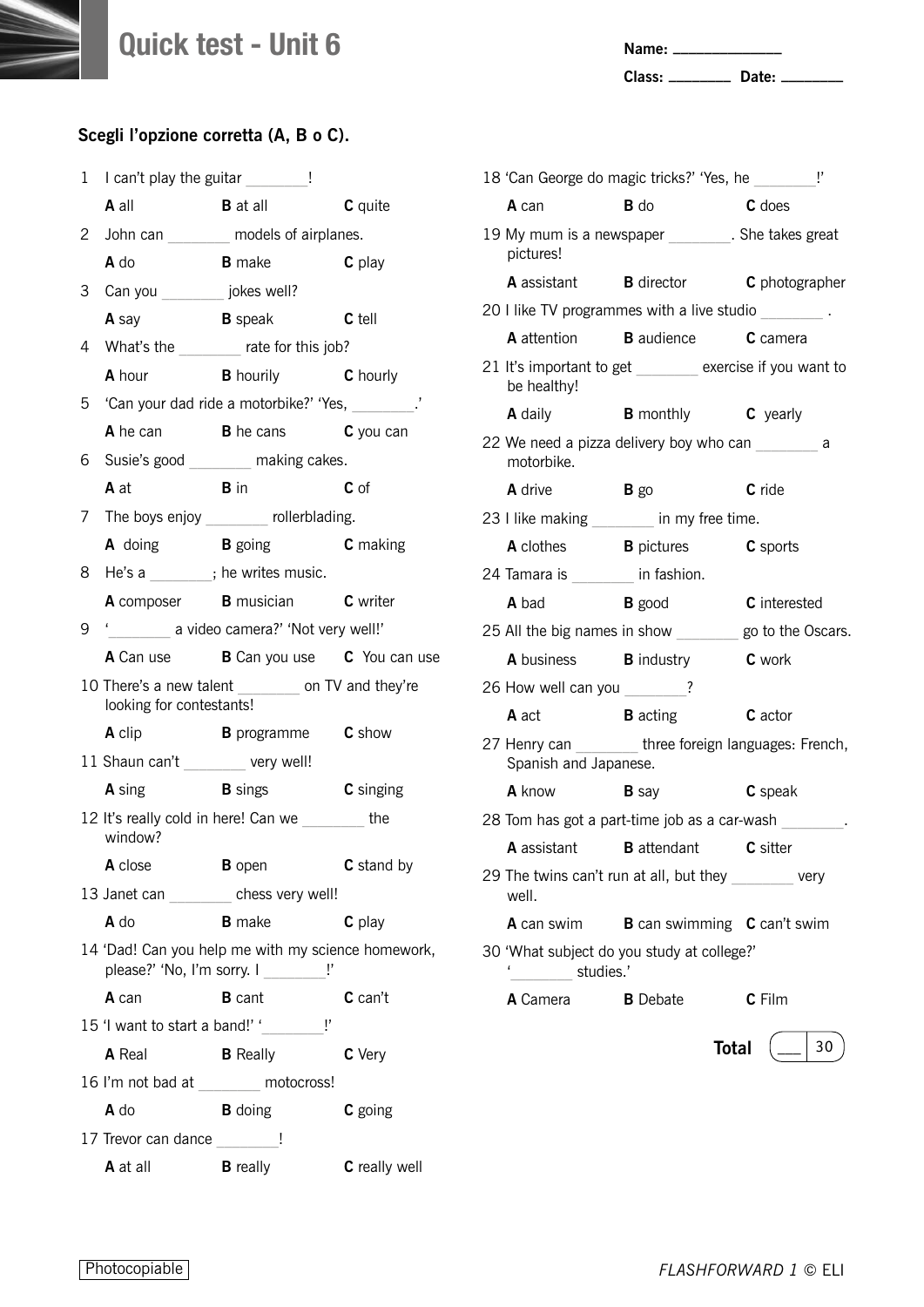**Name: \_\_\_\_\_\_\_\_\_\_\_\_\_\_**

**Class: \_\_\_\_\_\_\_\_ Date: \_\_\_\_\_\_\_\_**

|   | 1 I can't play the guitar 1         |                                                                                              |                  |  |
|---|-------------------------------------|----------------------------------------------------------------------------------------------|------------------|--|
|   | <b>A</b> all                        | <b>B</b> at all                                                                              | C quite          |  |
|   |                                     | 2 John can _______ models of airplanes.                                                      |                  |  |
|   | A do                                | <b>B</b> make <b>C</b> play                                                                  |                  |  |
|   | 3 Can you __________ jokes well?    |                                                                                              |                  |  |
|   | <b>A</b> say                        | <b>B</b> speak <b>C</b> tell                                                                 |                  |  |
|   |                                     | 4 What's the _______ rate for this job?                                                      |                  |  |
|   |                                     | <b>A</b> hour <b>B</b> hourily <b>C</b> hourly                                               |                  |  |
|   |                                     | 5 'Can your dad ride a motorbike?' 'Yes, \, \,                                               |                  |  |
|   |                                     | A he can B he cans C you can                                                                 |                  |  |
| 6 |                                     | Susie's good _______ making cakes.                                                           |                  |  |
|   | A at                                | <b>B</b> in                                                                                  | $C$ of           |  |
|   |                                     | 7 The boys enjoy _______ rollerblading.                                                      |                  |  |
|   |                                     | A doing B going C making                                                                     |                  |  |
|   | 8 He's a _______; he writes music.  |                                                                                              |                  |  |
|   |                                     | A composer B musician C writer                                                               |                  |  |
| 9 | ' a video camera?' 'Not very well!' |                                                                                              |                  |  |
|   |                                     | <b>A</b> Can use <b>B</b> Can you use <b>C</b> You can use                                   |                  |  |
|   | looking for contestants!            | 10 There's a new talent ________ on TV and they're                                           |                  |  |
|   | A clip                              | <b>B</b> programme <b>C</b> show                                                             |                  |  |
|   | 11 Shaun can't ________ very well!  |                                                                                              |                  |  |
|   | <b>A</b> sing <b>B</b> sings        |                                                                                              | <b>C</b> singing |  |
|   | window?                             | 12 It's really cold in here! Can we the                                                      |                  |  |
|   | A close                             | <b>B</b> open                                                                                | C stand by       |  |
|   |                                     | 13 Janet can ________ chess very well!                                                       |                  |  |
|   | $A$ do                              | <b>B</b> make                                                                                | C play           |  |
|   |                                     | 14 'Dad! Can you help me with my science homework,<br>please?' 'No, I'm sorry. I _________!' |                  |  |
|   | A can                               | <b>B</b> cant                                                                                | C can't          |  |
|   |                                     | 15 'I want to start a band!' '__________!'                                                   |                  |  |
|   | A Real                              | <b>B</b> Really                                                                              | C Very           |  |
|   |                                     | 16 I'm not bad at _______ motocross!                                                         |                  |  |
|   | A do                                | <b>B</b> doing                                                                               | C going          |  |
|   |                                     |                                                                                              |                  |  |
|   | 17 Trevor can dance ________!       |                                                                                              |                  |  |

|                                     | 18 'Can George do magic tricks?' 'Yes, he _________!'   |                     |
|-------------------------------------|---------------------------------------------------------|---------------------|
| A can                               | <b>B</b> do<br>C does                                   |                     |
| pictures!                           | 19 My mum is a newspaper ________. She takes great      |                     |
|                                     | A assistant B director C photographer                   |                     |
|                                     | 20 I like TV programmes with a live studio              |                     |
|                                     | A attention <b>B</b> audience <b>C</b> camera           |                     |
| be healthy!                         | 21 It's important to get ______ exercise if you want to |                     |
| <b>A</b> daily                      | <b>B</b> monthly <b>C</b> yearly                        |                     |
| motorbike.                          | 22 We need a pizza delivery boy who can __________ a    |                     |
| <b>A</b> drive                      | $\mathbf{B}$ go                                         | <b>C</b> ride       |
|                                     | 23 I like making _______ in my free time.               |                     |
|                                     | A clothes <b>B</b> pictures <b>C</b> sports             |                     |
| 24 Tamara is ________ in fashion.   |                                                         |                     |
| <b>A</b> bad <b>B</b> good          |                                                         | <b>C</b> interested |
|                                     | 25 All the big names in show ________ go to the Oscars. |                     |
| <b>A</b> business <b>B</b> industry |                                                         | <b>C</b> work       |
| 26 How well can you _______?        |                                                         |                     |
| <b>A</b> act                        | <b>B</b> acting <b>C</b> actor                          |                     |
| Spanish and Japanese.               | 27 Henry can _______ three foreign languages: French,   |                     |
| <b>A</b> know                       | <b>B</b> say                                            | C speak             |
|                                     | 28 Tom has got a part-time job as a car-wash ________.  |                     |
|                                     | A assistant B attendant C sitter                        |                     |
| well.                               | 29 The twins can't run at all, but they very            |                     |
| <b>A</b> can swim                   | <b>B</b> can swimming <b>C</b> can't swim               |                     |
| studies.'                           | 30 'What subject do you study at college?'              |                     |
| <b>A</b> Camera                     | <b>B</b> Debate                                         | $c$ Film            |
|                                     | <b>Total</b>                                            | 30                  |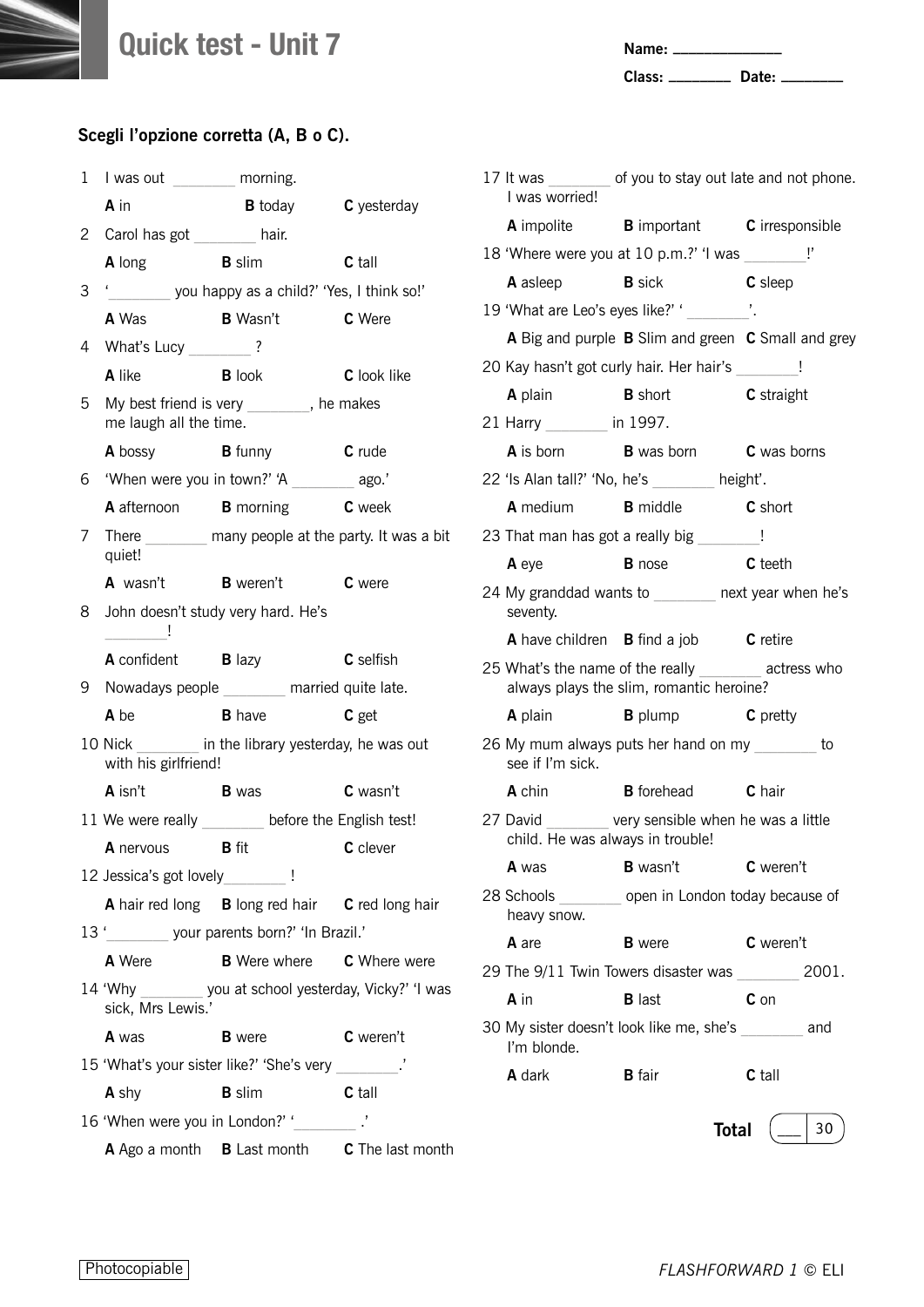**Name: \_\_\_\_\_\_\_\_\_\_\_\_\_\_**

**Class: \_\_\_\_\_\_\_\_ Date: \_\_\_\_\_\_\_\_**

| 1 | I was out _________ morning.     |                                                       |                                                           |
|---|----------------------------------|-------------------------------------------------------|-----------------------------------------------------------|
|   | A in                             | <b>B</b> today <b>C</b> yesterday                     |                                                           |
|   | 2 Carol has got _______ hair.    |                                                       |                                                           |
|   | <b>A</b> long                    | <b>B</b> slim                                         | <b>C</b> tall                                             |
| 3 |                                  | '__________ you happy as a child?' 'Yes, I think so!' |                                                           |
|   | A Was                            | <b>B</b> Wasn't                                       | C Were                                                    |
| 4 | What's Lucy ________?            |                                                       |                                                           |
|   | <b>A</b> like                    | <b>B</b> look                                         | C look like                                               |
| 5 | me laugh all the time.           | My best friend is very _______, he makes              |                                                           |
|   | A bossy                          | <b>B</b> funny <b>C</b> rude                          |                                                           |
| 6 |                                  | 'When were you in town?' 'A ________ ago.'            |                                                           |
|   |                                  | A afternoon B morning C week                          |                                                           |
| 7 | quiet!                           |                                                       | There __________ many people at the party. It was a bit   |
|   |                                  | <b>A</b> wasn't <b>B</b> weren't                      | C were                                                    |
| 8 | $\sim$ $\sim$ $\sim$ $\sim$      | John doesn't study very hard. He's                    |                                                           |
|   | <b>A</b> confident <b>B</b> lazy |                                                       | <b>C</b> selfish                                          |
| 9 |                                  | Nowadays people _______ married quite late.           |                                                           |
|   | <b>A</b> be                      | <b>B</b> have                                         | C get                                                     |
|   | with his girlfriend!             | 10 Nick in the library yesterday, he was out          |                                                           |
|   | <b>A</b> isn't <b>B</b> was      |                                                       | <b>C</b> wasn't                                           |
|   |                                  | 11 We were really _______ before the English test!    |                                                           |
|   | <b>A</b> nervous <b>B</b> fit    |                                                       | C clever                                                  |
|   | 12 Jessica's got lovely________! |                                                       |                                                           |
|   |                                  | A hair red long B long red hair C red long hair       |                                                           |
|   |                                  | 13 '\starsquare your parents born?' 'In Brazil.'      |                                                           |
|   | <b>A</b> Were                    | <b>B</b> Were where <b>C</b> Where were               |                                                           |
|   | sick, Mrs Lewis.'                |                                                       | 14 'Why ________ you at school yesterday, Vicky?' 'I was  |
|   | A was                            | <b>B</b> were                                         | C weren't                                                 |
|   |                                  | 15 'What's your sister like?' 'She's very _________.' |                                                           |
|   | A shy                            | <b>B</b> slim                                         | C tall                                                    |
|   |                                  | 16 'When were you in London?' '__________.'           |                                                           |
|   |                                  |                                                       | A Ago a month <b>B</b> Last month <b>C</b> The last month |

| I was worried!                   | 17 It was _________ of you to stay out late and not phone.                                           |                |
|----------------------------------|------------------------------------------------------------------------------------------------------|----------------|
|                                  | A impolite <b>B</b> important <b>C</b> irresponsible                                                 |                |
|                                  | 18 'Where were you at 10 p.m.?' 'I was ________ !'                                                   |                |
| <b>A</b> asleep <b>B</b> sick    |                                                                                                      | <b>C</b> sleep |
|                                  | 19 'What are Leo's eyes like?' ' ________'.                                                          |                |
|                                  | A Big and purple B Slim and green C Small and grey                                                   |                |
|                                  | 20 Kay hasn't got curly hair. Her hair's _______!                                                    |                |
|                                  | A plain <b>B</b> short <b>C</b> straight                                                             |                |
| 21 Harry _______ in 1997.        |                                                                                                      |                |
|                                  | <b>A</b> is born <b>B</b> was born <b>C</b> was borns                                                |                |
|                                  | 22 'Is Alan tall?' 'No, he's ______ height'.                                                         |                |
|                                  | <b>A</b> medium <b>B</b> middle <b>C</b> short                                                       |                |
|                                  | 23 That man has got a really big _______!                                                            |                |
| A eye                            | <b>B</b> nose                                                                                        | <b>C</b> teeth |
| seventy.                         | 24 My granddad wants to hext year when he's                                                          |                |
|                                  | <b>A</b> have children <b>B</b> find a job <b>C</b> retire                                           |                |
|                                  | 25 What's the name of the really ___________ actress who<br>always plays the slim, romantic heroine? |                |
|                                  | A plain B plump C pretty                                                                             |                |
| see if I'm sick.                 | 26 My mum always puts her hand on my ________ to                                                     |                |
|                                  | A chin <b>B</b> forehead <b>C</b> hair                                                               |                |
| child. He was always in trouble! | 27 David very sensible when he was a little                                                          |                |
| <b>A</b> was                     | <b>B</b> wasn't                                                                                      | C weren't      |
| heavy snow.                      | 28 Schools open in London today because of                                                           |                |
| A are                            | <b>B</b> were                                                                                        | C weren't      |
|                                  | 29 The 9/11 Twin Towers disaster was 2001.                                                           |                |
| A in                             | <b>B</b> last                                                                                        | $c_{\rm on}$   |
| I'm blonde.                      | 30 My sister doesn't look like me, she's and                                                         |                |
| <b>A</b> dark                    | <b>B</b> fair                                                                                        | <b>C</b> tall  |
|                                  | Total                                                                                                | 30             |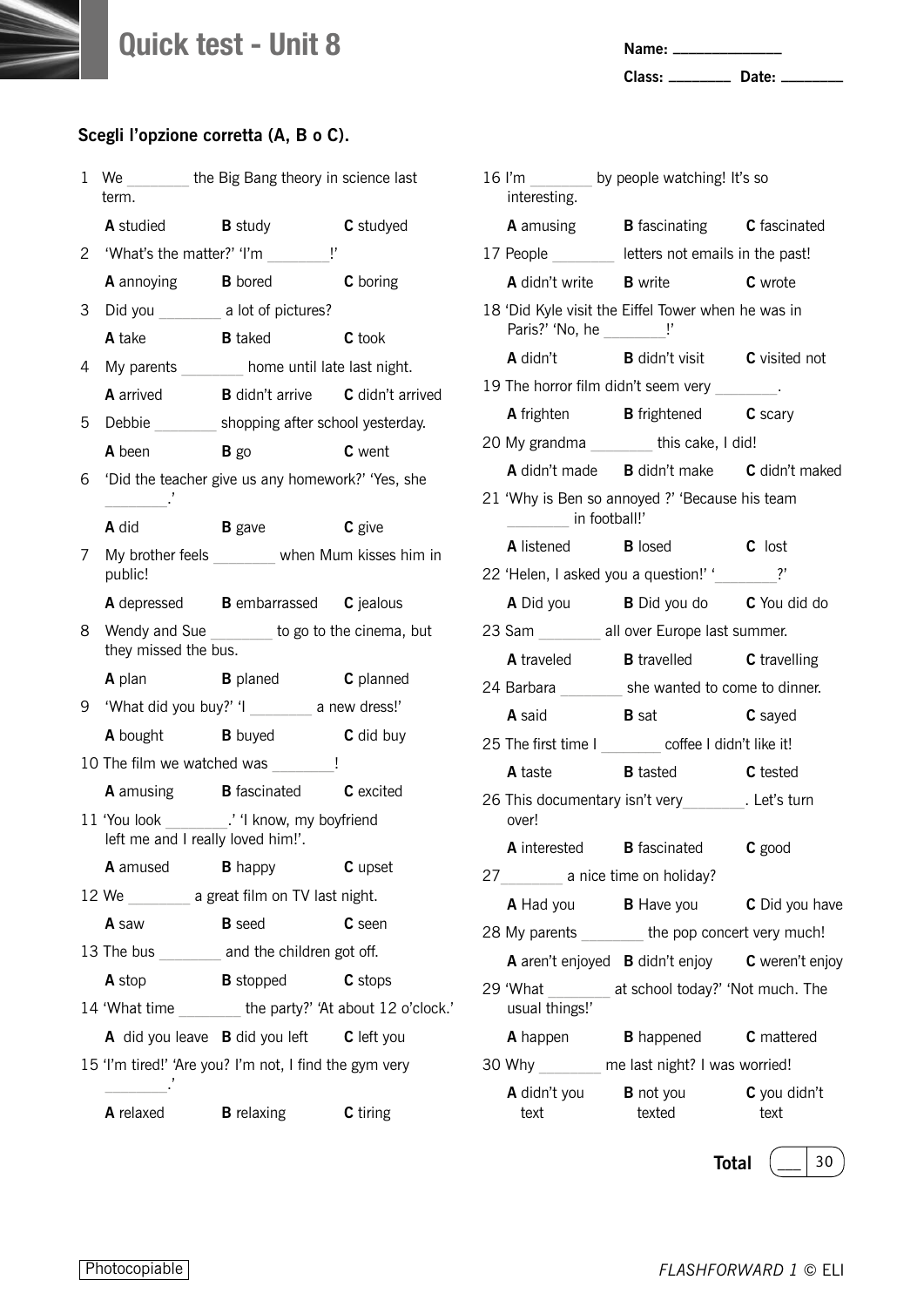**Name: \_\_\_\_\_\_\_\_\_\_\_\_\_\_**

**Class: \_\_\_\_\_\_\_\_ Date: \_\_\_\_\_\_\_\_**

#### **Scegli l'opzione corretta (A, B o C).**

| 1  | term.                    | We the Big Bang theory in science last                                               |                  |
|----|--------------------------|--------------------------------------------------------------------------------------|------------------|
|    |                          | <b>A</b> studied <b>B</b> study                                                      | C studyed        |
| 2  |                          | 'What's the matter?' 'I'm _________!'                                                |                  |
|    |                          | <b>A</b> annoying <b>B</b> bored                                                     | C boring         |
| 3  |                          | Did you _________ a lot of pictures?                                                 |                  |
|    | A take                   | <b>B</b> taked                                                                       | C took           |
| 4  |                          | My parents home until late last night.                                               |                  |
|    |                          | A arrived <b>B</b> didn't arrive <b>C</b> didn't arrived                             |                  |
| 5  |                          | Debbie shopping after school yesterday.                                              |                  |
|    | <b>A</b> been            | $B$ go                                                                               | <b>C</b> went    |
| 6. | $\overline{\phantom{a}}$ | 'Did the teacher give us any homework?' 'Yes, she                                    |                  |
|    | A did                    | <b>B</b> gave                                                                        | C give           |
| 7  | public!                  | My brother feels _______ when Mum kisses him in                                      |                  |
|    |                          | A depressed B embarrassed C jealous                                                  |                  |
| 8  | they missed the bus.     | Wendy and Sue _______ to go to the cinema, but                                       |                  |
|    | <b>A</b> plan            | <b>B</b> planed <b>C</b> planned                                                     |                  |
| 9  |                          | 'What did you buy?' 'l ________ a new dress!'                                        |                  |
|    |                          | A bought B buyed                                                                     | <b>C</b> did buy |
|    |                          | 10 The film we watched was                                                           | $\mathsf I$      |
|    |                          | A amusing <b>B</b> fascinated <b>C</b> excited                                       |                  |
|    |                          | 11 'You look __________.' 'I know, my boyfriend<br>left me and I really loved him!'. |                  |
|    | A amused                 | <b>B</b> happy                                                                       | C upset          |
|    |                          | 12 We __________ a great film on TV last night.                                      |                  |
|    | A saw                    | <b>B</b> seed                                                                        | C seen           |
|    |                          | 13 The bus _______ and the children got off.                                         |                  |
|    | A stop                   | <b>B</b> stopped                                                                     | C stops          |
|    |                          | 14 'What time _______the party?' 'At about 12 o'clock.'                              |                  |
|    |                          | A did you leave <b>B</b> did you left <b>C</b> left you                              |                  |
|    |                          | 15 'I'm tired!' 'Are you? I'm not, I find the gym very                               |                  |
|    | A relaxed                | <b>B</b> relaxing                                                                    | C tiring         |

| interesting.                                 | 16 I'm ________ by people watching! It's so              |                                |
|----------------------------------------------|----------------------------------------------------------|--------------------------------|
|                                              | A amusing <b>B</b> fascinating <b>C</b> fascinated       |                                |
|                                              | 17 People ________ letters not emails in the past!       |                                |
|                                              | A didn't write B write C wrote                           |                                |
| Paris?' 'No, he __________!'                 | 18 'Did Kyle visit the Eiffel Tower when he was in       |                                |
|                                              | A didn't B didn't visit C visited not                    |                                |
|                                              | 19 The horror film didn't seem very ________.            |                                |
|                                              | <b>A</b> frighten <b>B</b> frightened <b>C</b> scary     |                                |
|                                              | 20 My grandma ________ this cake, I did!                 |                                |
|                                              | A didn't made B didn't make C didn't maked               |                                |
| in football!'                                | 21 'Why is Ben so annoyed ?' 'Because his team           |                                |
|                                              | A listened B losed C lost                                |                                |
|                                              | 22 'Helen, I asked you a question!' '_______?'           |                                |
|                                              | A Did you <b>B</b> Did you do <b>C</b> You did do        |                                |
|                                              | 23 Sam ________ all over Europe last summer.             |                                |
|                                              | A traveled B travelled C travelling                      |                                |
|                                              | 24 Barbara _________ she wanted to come to dinner.       |                                |
| <b>A</b> said                                | <b>B</b> sat                                             | C sayed                        |
|                                              | 25 The first time I ________ coffee I didn't like it!    |                                |
|                                              | A taste <b>B</b> tasted <b>C</b> tested                  |                                |
| over!                                        | 26 This documentary isn't very_________. Let's turn      |                                |
|                                              | A interested B fascinated C good                         |                                |
| 27 a nice time on holiday?                   |                                                          |                                |
|                                              | <b>A</b> Had you <b>B</b> Have you <b>C</b> Did you have |                                |
|                                              | 28 My parents _______ the pop concert very much!         |                                |
|                                              | A aren't enjoyed B didn't enjoy C weren't enjoy          |                                |
| usual things!'                               | 29 'What ________ at school today?' 'Not much. The       |                                |
|                                              | A happen B happened C mattered                           |                                |
|                                              | 30 Why _______ me last night? I was worried!             |                                |
| <b>A</b> didn't you <b>B</b> not you<br>text | texted                                                   | $\mathsf C$ you didn't<br>text |

**Total**  $\left(\_\_\_\right$  30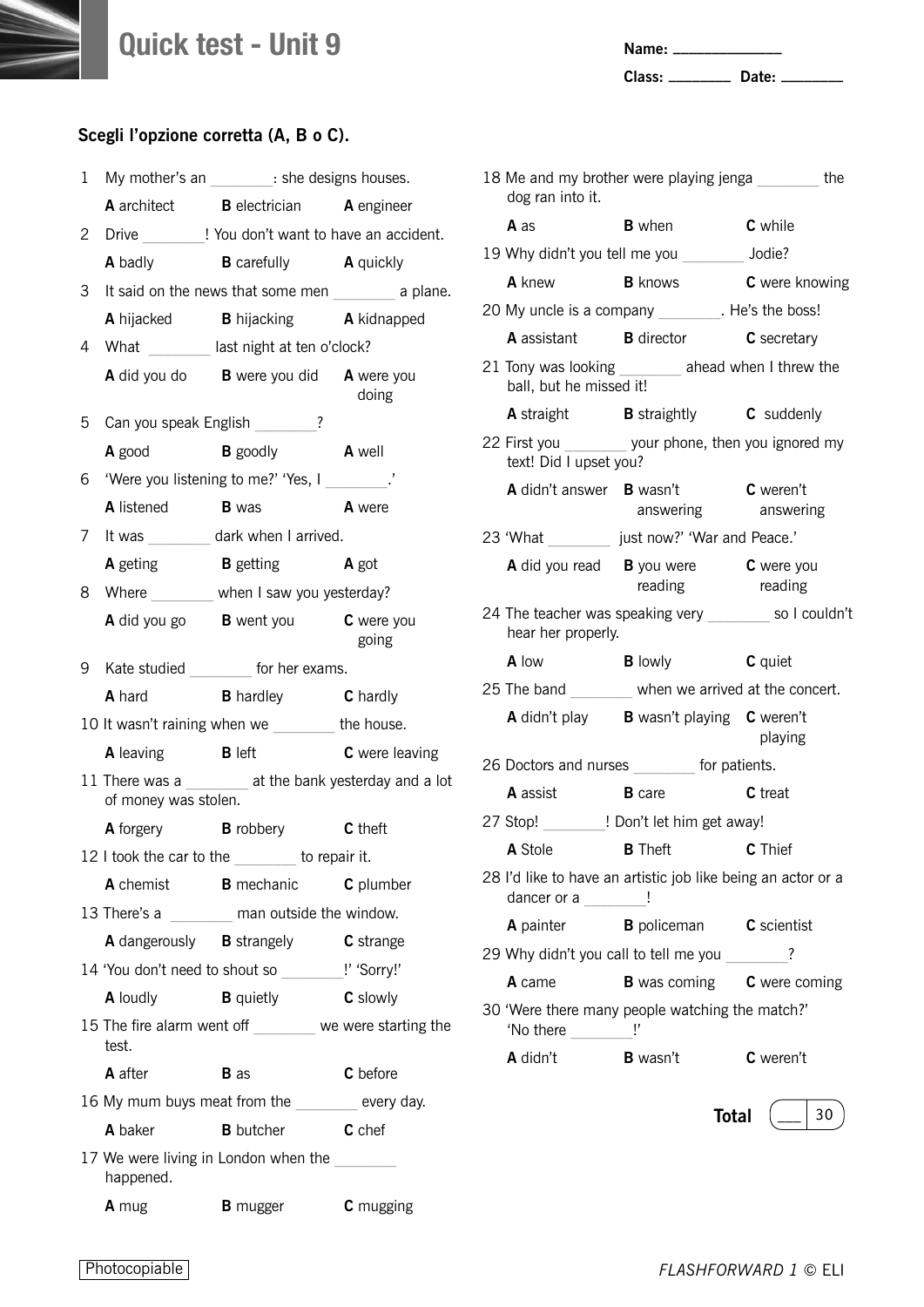**Name: \_\_\_\_\_\_\_\_\_\_\_\_\_\_**

**Class: \_\_\_\_\_\_\_\_ Date: \_\_\_\_\_\_\_\_**

#### **Scegli l'opzione corretta (A, B o C).**

| 1 |                                | My mother's an ________: she designs houses.            |                       |
|---|--------------------------------|---------------------------------------------------------|-----------------------|
|   |                                | A architect <b>B</b> electrician <b>A</b> engineer      |                       |
| 2 |                                | Drive _________! You don't want to have an accident.    |                       |
|   |                                | A badly <b>B</b> carefully <b>A</b> quickly             |                       |
| 3 |                                | It said on the news that some men __________ a plane.   |                       |
|   |                                | A hijacked B hijacking A kidnapped                      |                       |
| 4 |                                | What ________ last night at ten o'clock?                |                       |
|   |                                | A did you do B were you did A were you                  | doing                 |
| 5 |                                | Can you speak English _______?                          |                       |
|   |                                | A good B goodly A well                                  |                       |
| 6 |                                | 'Were you listening to me?' 'Yes, I _________.'         |                       |
|   |                                | A listened B was A were                                 |                       |
| 7 |                                | It was __________ dark when I arrived.                  |                       |
|   |                                | <b>A</b> geting <b>B</b> getting <b>A</b> got           |                       |
| 8 |                                | Where when I saw you yesterday?                         |                       |
|   |                                | A did you go B went you C were you                      | going                 |
|   |                                | 9 Kate studied ________ for her exams.                  |                       |
|   |                                | A hard <b>B</b> hardley <b>C</b> hardly                 |                       |
|   |                                | 10 It wasn't raining when we ________ the house.        |                       |
|   | <b>A</b> leaving <b>B</b> left |                                                         | <b>C</b> were leaving |
|   | of money was stolen.           | 11 There was a ________ at the bank yesterday and a lot |                       |
|   |                                | A forgery B robbery C theft                             |                       |
|   |                                | 12 I took the car to the ______ to repair it.           |                       |
|   |                                | A chemist <b>B</b> mechanic <b>C</b> plumber            |                       |
|   |                                | 13 There's a ________ man outside the window.           |                       |
|   |                                | A dangerously <b>B</b> strangely <b>C</b> strange       |                       |
|   |                                | 14 'You don't need to shout so ________!' 'Sorry!'      |                       |
|   | <b>A</b> loudly                | <b>B</b> quietly                                        | <b>C</b> slowly       |
|   | test.                          | 15 The fire alarm went off _______ we were starting the |                       |
|   | A after                        | <b>B</b> as                                             | C before              |
|   |                                | 16 My mum buys meat from the _______ every day.         |                       |
|   | A baker                        | <b>B</b> butcher                                        | <b>C</b> chef         |
|   | happened.                      | 17 We were living in London when the                    |                       |
|   | <b>A</b> mug                   | <b>B</b> mugger                                         | <b>C</b> mugging      |

| 18 Me and my brother were playing jenga https://<br>dog ran into it. |                                                                         |                       |
|----------------------------------------------------------------------|-------------------------------------------------------------------------|-----------------------|
| <b>A</b> as                                                          | <b>B</b> when <b>C</b> while                                            |                       |
|                                                                      | 19 Why didn't you tell me you Jodie?                                    |                       |
| <b>A</b> knew <b>B</b> knows                                         |                                                                         | <b>C</b> were knowing |
|                                                                      | 20 My uncle is a company ________. He's the boss!                       |                       |
|                                                                      | <b>A</b> assistant <b>B</b> director <b>C</b> secretary                 |                       |
| ball, but he missed it!                                              | 21 Tony was looking _______ ahead when I threw the                      |                       |
|                                                                      | <b>A</b> straight <b>B</b> straightly <b>C</b> suddenly                 |                       |
| text! Did I upset you?                                               | 22 First you ________ your phone, then you ignored my                   |                       |
|                                                                      | A didn't answer <b>B</b> wasn't <b>C</b> weren't<br>answering answering |                       |
|                                                                      | 23 'What __________ just now?' 'War and Peace.'                         |                       |
|                                                                      | A did you read B you were C were you<br>reading                         | reading               |
| hear her properly.                                                   | 24 The teacher was speaking very so I couldn't                          |                       |
| A low                                                                | <b>B</b> lowly <b>C</b> quiet                                           |                       |
|                                                                      | 25 The band when we arrived at the concert.                             |                       |
|                                                                      | A didn't play B wasn't playing C weren't                                | playing               |
|                                                                      | 26 Doctors and nurses _______ for patients.                             |                       |
| <b>A</b> assist <b>B</b> care                                        |                                                                         | C treat               |
|                                                                      | 27 Stop! ! Don't let him get away!                                      |                       |
|                                                                      | A Stole <b>B</b> Theft <b>C</b> Thief                                   |                       |
| dancer or a $\frac{1}{\sqrt{2}}$                                     | 28 I'd like to have an artistic job like being an actor or a            |                       |
|                                                                      | A painter <b>B</b> policeman <b>C</b> scientist                         |                       |
|                                                                      | 29 Why didn't you call to tell me you                                   | ?                     |
| A came                                                               | <b>B</b> was coming <b>C</b> were coming                                |                       |
| 'No there $\frac{1}{1}$ '                                            | 30 'Were there many people watching the match?'                         |                       |
| A didn't                                                             | <b>B</b> wasn't                                                         | C weren't             |

**Total**  $\left(\begin{array}{c|c} \hline \end{array}\right)$  30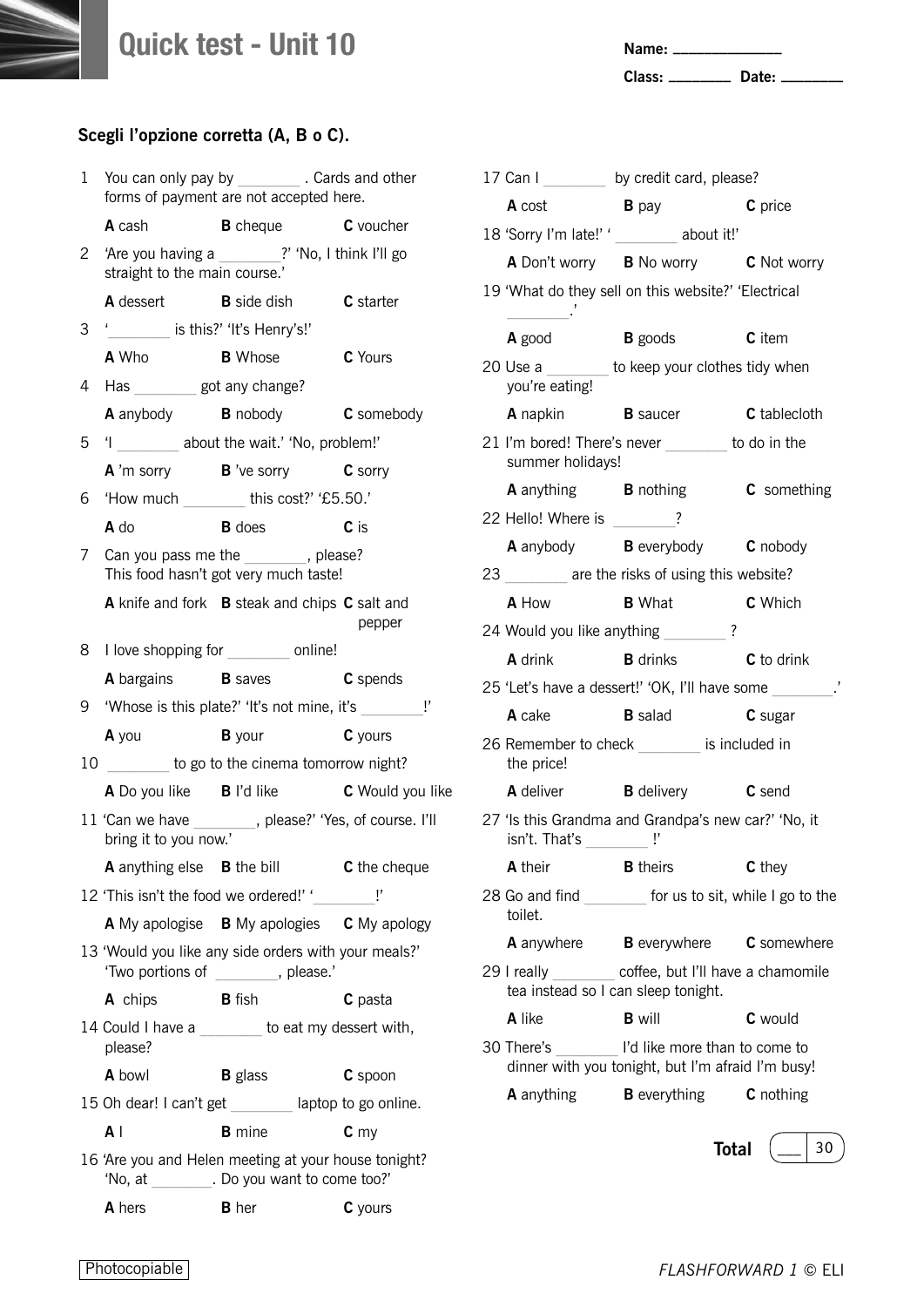**Name: \_\_\_\_\_\_\_\_\_\_\_\_\_\_**

**Class: \_\_\_\_\_\_\_\_ Date: \_\_\_\_\_\_\_\_**

| 1            | You can only pay by ____________ . Cards and other | forms of payment are not accepted here.                                                     |                 |
|--------------|----------------------------------------------------|---------------------------------------------------------------------------------------------|-----------------|
|              | <b>A</b> cash                                      | <b>B</b> cheque <b>C</b> voucher                                                            |                 |
| $\mathbf{2}$ | straight to the main course.'                      | 'Are you having a ________?' 'No, I think I'll go                                           |                 |
|              |                                                    | A dessert B side dish C starter                                                             |                 |
| 3            | ' is this?' 'It's Henry's!'                        |                                                                                             |                 |
|              | <b>A</b> Who <b>B</b> Whose                        |                                                                                             | C Yours         |
| 4            | Has __________ got any change?                     |                                                                                             |                 |
|              |                                                    | <b>A</b> anybody <b>B</b> nobody <b>C</b> somebody                                          |                 |
| 5            |                                                    | 'l _________ about the wait.' 'No, problem!'                                                |                 |
|              |                                                    | <b>A</b> 'm sorry <b>B</b> 've sorry <b>C</b> sorry                                         |                 |
| 6            |                                                    | 'How much this cost?' '£5.50.'                                                              |                 |
|              | <b>A</b> do                                        | <b>B</b> does                                                                               | c <sub>is</sub> |
| 7            |                                                    | Can you pass me the _______, please?<br>This food hasn't got very much taste!               |                 |
|              |                                                    | A knife and fork B steak and chips C salt and                                               | pepper          |
|              |                                                    | 8 I love shopping for _________ online!                                                     |                 |
|              |                                                    | A bargains <b>B</b> saves <b>C</b> spends                                                   |                 |
|              |                                                    |                                                                                             |                 |
|              |                                                    | 9 'Whose is this plate?' 'It's not mine, it's _________ !'                                  |                 |
|              |                                                    | A you byour cyours                                                                          |                 |
|              |                                                    | 10 _______ to go to the cinema tomorrow night?                                              |                 |
|              |                                                    | A Do you like B I'd like C Would you like                                                   |                 |
|              | bring it to you now.'                              | 11 'Can we have ________, please?' 'Yes, of course. I'll                                    |                 |
|              |                                                    | <b>A</b> anything else <b>B</b> the bill <b>C</b> the cheque                                |                 |
|              |                                                    | 12 'This isn't the food we ordered!' '                                                      |                 |
|              |                                                    | A My apologise B My apologies C My apology                                                  |                 |
|              |                                                    | 13 'Would you like any side orders with your meals?'<br>'Two portions of _______, please.'  |                 |
|              | A chips <b>B</b> fish                              |                                                                                             | C pasta         |
|              | please?                                            | 14 Could I have a _______ to eat my dessert with,                                           |                 |
|              | A bowl                                             | <b>B</b> glass                                                                              | C spoon         |
|              |                                                    | 15 Oh dear! I can't get _______ laptop to go online.                                        |                 |
|              | ΑI                                                 | <b>B</b> mine                                                                               | c <sub>my</sub> |
|              |                                                    | 16 'Are you and Helen meeting at your house tonight?<br>'No, at . Do you want to come too?' |                 |

|                                                    | 17 Can I ________ by credit card, please?                                          |                  |
|----------------------------------------------------|------------------------------------------------------------------------------------|------------------|
| <b>A</b> cost                                      | $\mathbf B$ pay                                                                    | C price          |
|                                                    | 18 'Sorry I'm late!' ' _______ about it!'                                          |                  |
|                                                    | A Don't worry B No worry C Not worry                                               |                  |
| $\overline{\phantom{a}}$                           | 19 'What do they sell on this website?' 'Electrical                                |                  |
|                                                    | <b>A</b> good <b>B</b> goods <b>C</b> item                                         |                  |
| you're eating!                                     | 20 Use a _______ to keep your clothes tidy when                                    |                  |
|                                                    | A napkin B saucer C tablecloth                                                     |                  |
| summer holidays!                                   | 21 I'm bored! There's never _______ to do in the                                   |                  |
|                                                    | A anything B nothing C something                                                   |                  |
| 22 Hello! Where is _______?                        |                                                                                    |                  |
|                                                    | A anybody B everybody C nobody                                                     |                  |
|                                                    | 23 are the risks of using this website?                                            |                  |
|                                                    | A How B What C Which                                                               |                  |
| 24 Would you like anything _______                 | $\overline{\cdot}$                                                                 |                  |
| <b>A</b> drink                                     | <b>B</b> drinks <b>C</b> to drink                                                  |                  |
|                                                    | 25 'Let's have a dessert!' 'OK, I'll have some                                     |                  |
| A cake                                             | <b>B</b> salad                                                                     | C sugar          |
| the price!                                         | 26 Remember to check ________ is included in                                       |                  |
|                                                    | A deliver <b>B</b> delivery <b>C</b> send                                          |                  |
| isn't. That's _________ !'                         | 27 'Is this Grandma and Grandpa's new car?' 'No, it                                |                  |
| A their                                            | <b>B</b> theirs                                                                    | C they           |
| toilet.                                            | 28 Go and find for us to sit, while I go to the                                    |                  |
| <b>A</b> anywhere                                  | <b>B</b> everywhere <b>C</b> somewhere                                             |                  |
| 29 I really<br>tea instead so I can sleep tonight. | coffee, but I'll have a chamomile                                                  |                  |
| A like                                             | <b>B</b> will                                                                      | <b>C</b> would   |
| 30 There's                                         | I'd like more than to come to<br>dinner with you tonight, but I'm afraid I'm busy! |                  |
| <b>A</b> anything                                  | <b>B</b> everything                                                                | <b>C</b> nothing |
|                                                    |                                                                                    |                  |
|                                                    | <b>Total</b>                                                                       | 30               |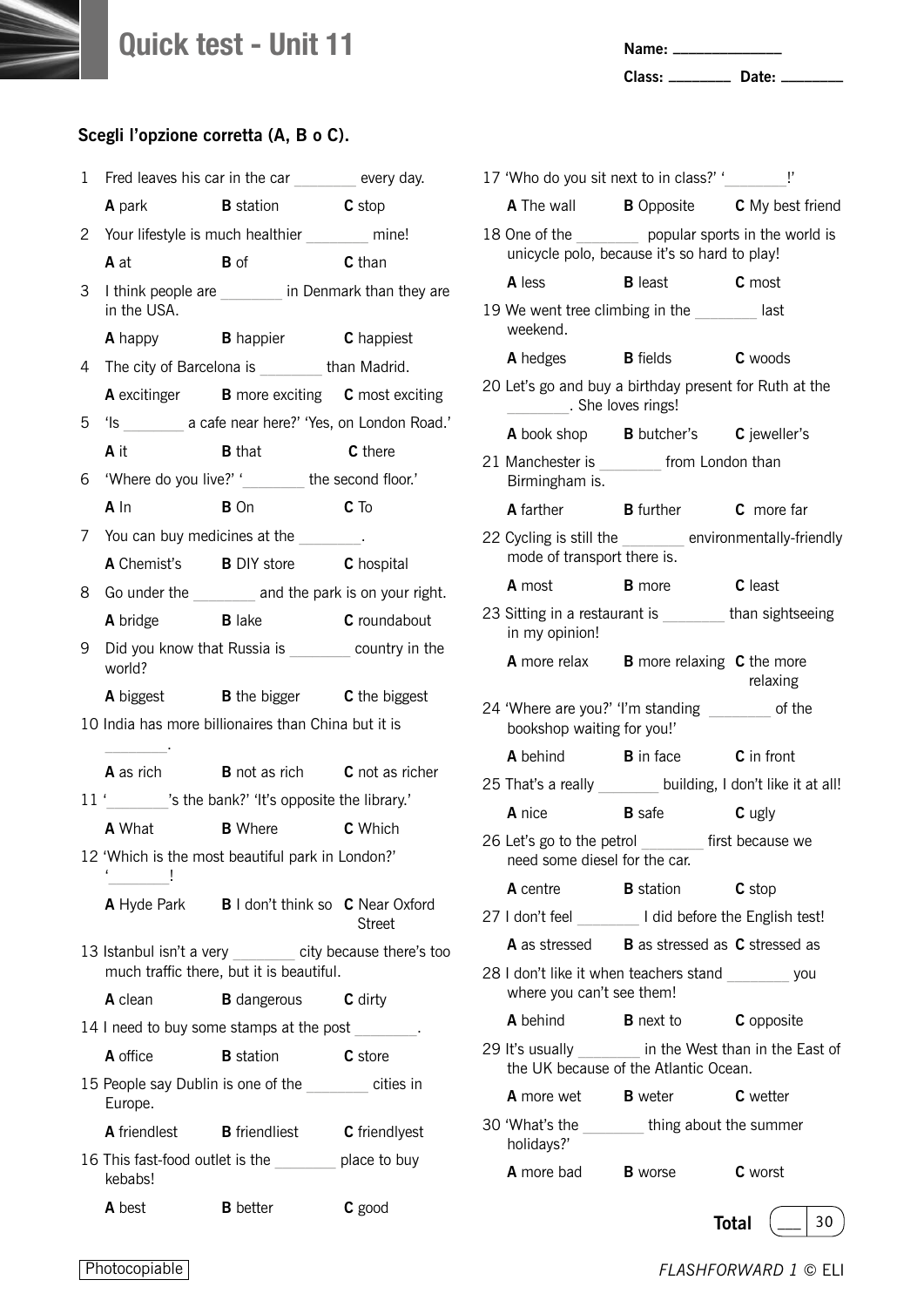**Name: \_\_\_\_\_\_\_\_\_\_\_\_\_\_**

**Class: \_\_\_\_\_\_\_\_ Date: \_\_\_\_\_\_\_\_**

|              |                          | 1 Fred leaves his car in the car _______ every day.                                                   |              |
|--------------|--------------------------|-------------------------------------------------------------------------------------------------------|--------------|
|              |                          | <b>A</b> park <b>B</b> station <b>C</b> stop                                                          |              |
| $\mathbf{2}$ |                          | Your lifestyle is much healthier ______ mine!                                                         |              |
|              | A at                     | <b>B</b> of                                                                                           | C than       |
| 3            | in the USA.              | I think people are _______ in Denmark than they are                                                   |              |
|              |                          | A happy <b>B</b> happier <b>C</b> happiest                                                            |              |
| 4            |                          | The city of Barcelona is ________ than Madrid.                                                        |              |
|              |                          | A excitinger B more exciting C most exciting                                                          |              |
| 5            |                          | 'Is a cafe near here?' 'Yes, on London Road.'                                                         |              |
|              | <b>A</b> it              | <b>B</b> that                                                                                         | C there      |
| 6            |                          | 'Where do you live?' '_________ the second floor.'                                                    |              |
|              | A In                     | <b>B</b> On                                                                                           | $C$ To       |
| 7            |                          | You can buy medicines at the _______.                                                                 |              |
|              |                          | A Chemist's B DIY store C hospital                                                                    |              |
|              |                          | 8 Go under the ________ and the park is on your right.                                                |              |
|              | A bridge B lake          |                                                                                                       | C roundabout |
| 9            | world?                   | Did you know that Russia is _________ country in the                                                  |              |
|              |                          | A biggest <b>B</b> the bigger <b>C</b> the biggest                                                    |              |
|              | $\overline{\phantom{a}}$ | 10 India has more billionaires than China but it is                                                   |              |
|              |                          | <b>A</b> as rich <b>B</b> not as rich <b>C</b> not as richer                                          |              |
|              |                          | 11 ' 's the bank?' 'It's opposite the library.'                                                       |              |
|              |                          | <b>A</b> What <b>B</b> Where <b>C</b> Which                                                           |              |
|              | í<br>İ                   | 12 'Which is the most beautiful park in London?'                                                      |              |
|              |                          | A Hyde Park B I don't think so C Near Oxford                                                          | Street       |
|              |                          | 13 Istanbul isn't a very _______ city because there's too<br>much traffic there, but it is beautiful. |              |
|              | A clean                  | <b>B</b> dangerous <b>C</b> dirty                                                                     |              |
|              |                          | 14 I need to buy some stamps at the post                                                              |              |
|              | A office                 | <b>B</b> station                                                                                      | C store      |
|              | Europe.                  | 15 People say Dublin is one of the _______ cities in                                                  |              |
|              |                          | A friendlest B friendliest C friendlyest                                                              |              |
|              | kebabs!                  | 16 This fast-food outlet is the place to buy                                                          |              |
|              | <b>A</b> best            | <b>B</b> better                                                                                       | C good       |

| 17 'Who do you sit next to in class?' '________ !'                                                    |                                |                |
|-------------------------------------------------------------------------------------------------------|--------------------------------|----------------|
| <b>A</b> The wall <b>B</b> Opposite <b>C</b> My best friend                                           |                                |                |
| 18 One of the ________ popular sports in the world is<br>unicycle polo, because it's so hard to play! |                                |                |
| A less                                                                                                | <b>B</b> least <b>C</b> most   |                |
| 19 We went tree climbing in the last<br>weekend.                                                      |                                |                |
| A hedges                                                                                              | <b>B</b> fields <b>C</b> woods |                |
| 20 Let's go and buy a birthday present for Ruth at the<br>She loves rings!                            |                                |                |
| <b>A</b> book shop <b>B</b> butcher's <b>C</b> jeweller's                                             |                                |                |
| 21 Manchester is ________ from London than<br>Birmingham is.                                          |                                |                |
| A farther <b>B</b> further <b>C</b> more far                                                          |                                |                |
| 22 Cycling is still the _______ environmentally-friendly<br>mode of transport there is.               |                                |                |
| <b>A</b> most                                                                                         | <b>B</b> more                  | <b>C</b> least |
| 23 Sitting in a restaurant is _______ than sightseeing<br>in my opinion!                              |                                |                |
| <b>A</b> more relax <b>B</b> more relaxing <b>C</b> the more                                          |                                | relaxing       |
| 24 'Where are you?' 'I'm standing _______ of the<br>bookshop waiting for you!'                        |                                |                |
| A behind B in face C in front                                                                         |                                |                |
| 25 That's a really _______ building, I don't like it at all!                                          |                                |                |
| A nice                                                                                                | <b>B</b> safe                  | C ugly         |
| 26 Let's go to the petrol first because we<br>need some diesel for the car.                           |                                |                |
| <b>A</b> centre                                                                                       | <b>B</b> station               | C stop         |
| 27 I don't feel loss and I did before the English test!                                               |                                |                |
| <b>A</b> as stressed <b>B</b> as stressed as <b>C</b> stressed as                                     |                                |                |
| 28 I don't like it when teachers stand you<br>where you can't see them!                               |                                |                |
| A behind                                                                                              | <b>B</b> next to               | C opposite     |
| 29 It's usually in the West than in the East of<br>the UK because of the Atlantic Ocean.              |                                |                |
| <b>A</b> more wet <b>B</b> weter                                                                      |                                | C wetter       |
| 30 'What's the thing about the summer<br>holidays?'                                                   |                                |                |
| <b>A</b> more bad <b>B</b> worse                                                                      |                                | <b>C</b> worst |
|                                                                                                       |                                | 30<br>Total    |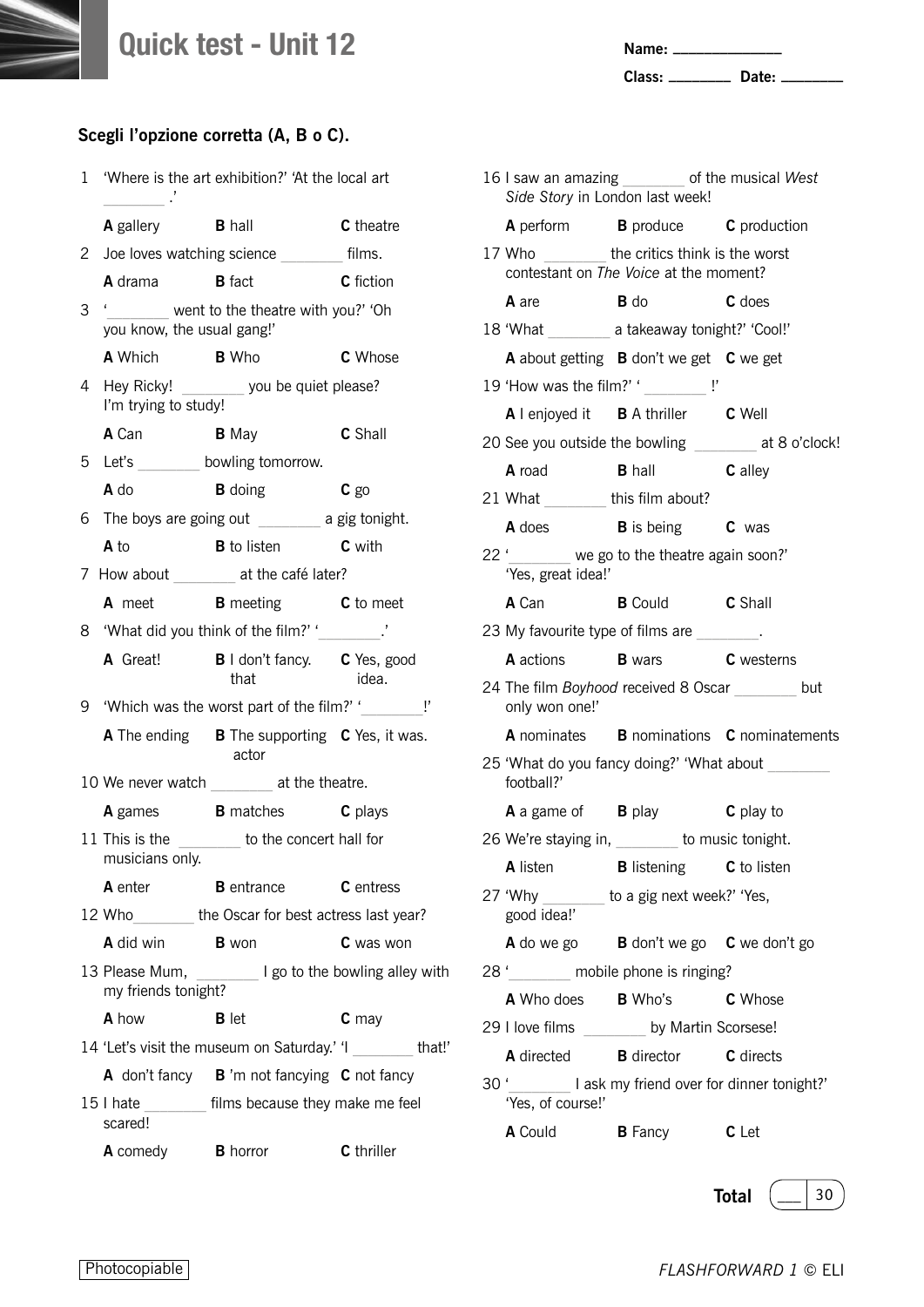**Name: \_\_\_\_\_\_\_\_\_\_\_\_\_\_**

**Class: \_\_\_\_\_\_\_\_ Date: \_\_\_\_\_\_\_\_**

| 1 | 'Where is the art exhibition?' 'At the local art<br>$\overline{\phantom{a}}$ . |                                                             |                  |
|---|--------------------------------------------------------------------------------|-------------------------------------------------------------|------------------|
|   |                                                                                | <b>A</b> gallery <b>B</b> hall                              | C theatre        |
| 2 |                                                                                | Joe loves watching science films.                           |                  |
|   | A drama B fact                                                                 | <b>C</b> fiction                                            |                  |
| 3 | you know, the usual gang!'                                                     | '_______ went to the theatre with you?' 'Oh                 |                  |
|   |                                                                                | <b>A</b> Which <b>B</b> Who                                 | C Whose          |
| 4 | I'm trying to study!                                                           | Hey Ricky! ________ you be quiet please?                    |                  |
|   |                                                                                | <b>A</b> Can <b>B</b> May <b>C</b> Shall                    |                  |
|   |                                                                                | 5 Let's _________ bowling tomorrow.                         |                  |
|   | <b>A</b> do                                                                    | <b>B</b> doing <b>C</b> go                                  |                  |
|   |                                                                                | 6 The boys are going out __________ a gig tonight.          |                  |
|   | A to                                                                           | <b>B</b> to listen <b>C</b> with                            |                  |
|   |                                                                                | 7 How about _______ at the café later?                      |                  |
|   |                                                                                | <b>A</b> meet <b>B</b> meeting <b>C</b> to meet             |                  |
|   |                                                                                | 8 'What did you think of the film?' '________.'             |                  |
|   | A Great!                                                                       | <b>B</b> I don't fancy. <b>C</b> Yes, good<br>that          | idea.            |
| 9 |                                                                                | 'Which was the worst part of the film?' '                   |                  |
|   |                                                                                | A The ending B The supporting C Yes, it was.<br>actor       |                  |
|   |                                                                                | 10 We never watch ________ at the theatre.                  |                  |
|   | <b>A</b> games                                                                 | <b>B</b> matches <b>C</b> plays                             |                  |
|   | musicians only.                                                                | 11 This is the ________ to the concert hall for             |                  |
|   | A enter                                                                        | <b>B</b> entrance                                           | <b>C</b> entress |
|   |                                                                                | 12 Who ________ the Oscar for best actress last year?       |                  |
|   | A did win B won                                                                |                                                             | C was won        |
|   | my friends tonight?                                                            | 13 Please Mum, ________ I go to the bowling alley with      |                  |
|   | A how                                                                          | <b>B</b> let                                                | $c$ may          |
|   |                                                                                | 14 'Let's visit the museum on Saturday.' 'I ________ that!' |                  |
|   |                                                                                | A don't fancy B 'm not fancying C not fancy                 |                  |
|   | scared!                                                                        | 15 I hate ________ films because they make me feel          |                  |
|   | <b>A</b> comedy <b>B</b> horror                                                |                                                             | C thriller       |

| 16 I saw an amazing ________ of the musical West<br>Side Story in London last week!       |                               |                                                      |
|-------------------------------------------------------------------------------------------|-------------------------------|------------------------------------------------------|
| <b>A</b> perform <b>B</b> produce <b>C</b> production                                     |                               |                                                      |
| 17 Who _________ the critics think is the worst<br>contestant on The Voice at the moment? |                               |                                                      |
| A are                                                                                     | <b>B</b> do                   | C does                                               |
| 18 'What __________ a takeaway tonight?' 'Cool!'                                          |                               |                                                      |
| A about getting B don't we get C we get                                                   |                               |                                                      |
| 19 'How was the film?' '                                                                  |                               |                                                      |
| A I enjoyed it B A thriller C Well                                                        |                               |                                                      |
|                                                                                           |                               | 20 See you outside the bowling _______ at 8 o'clock! |
| A road B hall C alley                                                                     |                               |                                                      |
| 21 What ________this film about?                                                          |                               |                                                      |
| <b>A</b> does <b>B</b> is being <b>C</b> was                                              |                               |                                                      |
| 22 '______ we go to the theatre again soon?'<br>'Yes, great idea!'                        |                               |                                                      |
| A Can                                                                                     | <b>B</b> Could <b>C</b> Shall |                                                      |
| 23 My favourite type of films are _______.                                                |                               |                                                      |
| <b>A</b> actions <b>B</b> wars <b>C</b> westerns                                          |                               |                                                      |
| 24 The film Boyhood received 8 Oscar but<br>only won one!'                                |                               |                                                      |
|                                                                                           |                               | A nominates B nominations C nominatements            |
| 25 'What do you fancy doing?' 'What about _______<br>football?'                           |                               |                                                      |
| <b>A</b> a game of <b>B</b> play                                                          |                               | C play to                                            |
| 26 We're staying in, _______ to music tonight.                                            |                               |                                                      |
| A listen <b>B</b> listening <b>C</b> to listen                                            |                               |                                                      |
| 27 'Why ________ to a gig next week?' 'Yes,<br>good idea!'                                |                               |                                                      |
| A do we go B don't we go C we don't go                                                    |                               |                                                      |
| 28 ' mobile phone is ringing?                                                             |                               |                                                      |
| A Who does B Who's C Whose                                                                |                               |                                                      |
| 29 I love films ________ by Martin Scorsese!                                              |                               |                                                      |
| <b>A</b> directed <b>B</b> director <b>C</b> directs                                      |                               |                                                      |
| 30 ' ________ I ask my friend over for dinner tonight?'<br>'Yes, of course!'              |                               |                                                      |
| <b>A</b> Could <b>B</b> Fancy                                                             |                               | C Let                                                |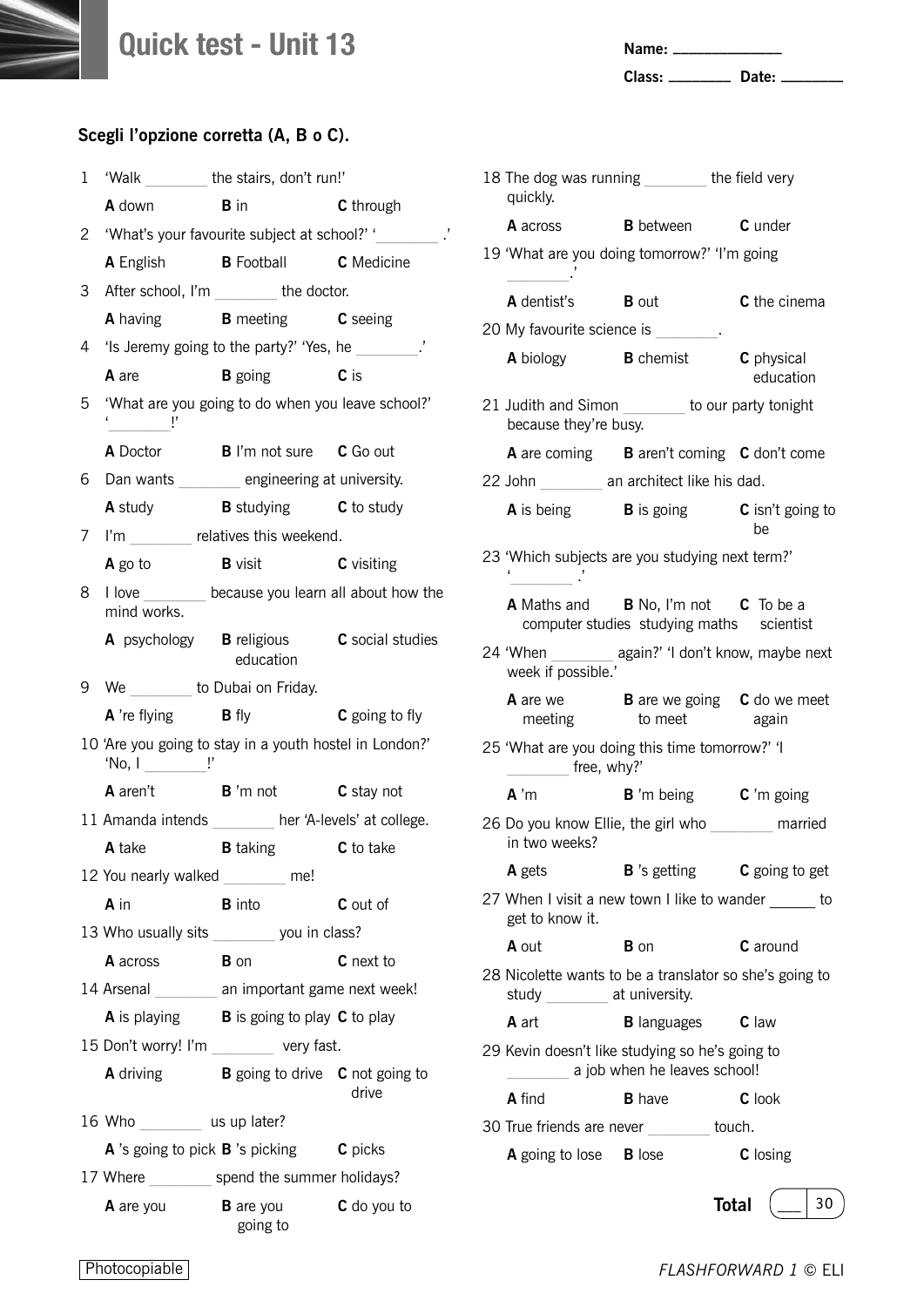**Name: \_\_\_\_\_\_\_\_\_\_\_\_\_\_**

**Class: \_\_\_\_\_\_\_\_ Date: \_\_\_\_\_\_\_\_**

| 1  |                                                                                                                                                                                                                                                                                                                                         | 'Walk _________ the stairs, don't run!'                              |                                                     |
|----|-----------------------------------------------------------------------------------------------------------------------------------------------------------------------------------------------------------------------------------------------------------------------------------------------------------------------------------------|----------------------------------------------------------------------|-----------------------------------------------------|
|    | <b>A</b> down                                                                                                                                                                                                                                                                                                                           | $\mathbf{B}$ in                                                      | C through                                           |
| 2  |                                                                                                                                                                                                                                                                                                                                         |                                                                      | 'What's your favourite subject at school?' '        |
|    |                                                                                                                                                                                                                                                                                                                                         | A English <b>B</b> Football <b>C</b> Medicine                        |                                                     |
| 3  |                                                                                                                                                                                                                                                                                                                                         | After school, I'm ________ the doctor.                               |                                                     |
|    |                                                                                                                                                                                                                                                                                                                                         | A having <b>B</b> meeting <b>C</b> seeing                            |                                                     |
| 4  |                                                                                                                                                                                                                                                                                                                                         | 'Is Jeremy going to the party?' 'Yes, he                             |                                                     |
|    | A are                                                                                                                                                                                                                                                                                                                                   | <b>B</b> going <b>C</b> is                                           |                                                     |
| 5  |                                                                                                                                                                                                                                                                                                                                         | 'What are you going to do when you leave school?'                    |                                                     |
|    |                                                                                                                                                                                                                                                                                                                                         | A Doctor <b>B</b> I'm not sure <b>C</b> Go out                       |                                                     |
|    |                                                                                                                                                                                                                                                                                                                                         | 6 Dan wants engineering at university.                               |                                                     |
|    |                                                                                                                                                                                                                                                                                                                                         | <b>A</b> study <b>B</b> studying <b>C</b> to study                   |                                                     |
| 7  |                                                                                                                                                                                                                                                                                                                                         | I'm _______ relatives this weekend.                                  |                                                     |
|    |                                                                                                                                                                                                                                                                                                                                         | A go to <b>B</b> visit <b>C</b> visiting                             |                                                     |
| 8. | mind works.                                                                                                                                                                                                                                                                                                                             |                                                                      | I love ________ because you learn all about how the |
|    |                                                                                                                                                                                                                                                                                                                                         | A psychology <b>B</b> religious <b>C</b> social studies<br>education |                                                     |
| 9. | We ________ to Dubai on Friday.                                                                                                                                                                                                                                                                                                         |                                                                      |                                                     |
|    | <b>A</b> 're flying <b>B</b> fly                                                                                                                                                                                                                                                                                                        |                                                                      | <b>C</b> going to fly                               |
|    | 'No, $I$ $\qquad$ $\qquad$ $\qquad$ $\qquad$ $\qquad$ $\qquad$ $\qquad$ $\qquad$ $\qquad$ $\qquad$ $\qquad$ $\qquad$ $\qquad$ $\qquad$ $\qquad$ $\qquad$ $\qquad$ $\qquad$ $\qquad$ $\qquad$ $\qquad$ $\qquad$ $\qquad$ $\qquad$ $\qquad$ $\qquad$ $\qquad$ $\qquad$ $\qquad$ $\qquad$ $\qquad$ $\qquad$ $\qquad$ $\qquad$ $\qquad$ $\$ | 10 'Are you going to stay in a youth hostel in London?'              |                                                     |
|    |                                                                                                                                                                                                                                                                                                                                         | A aren't B 'm not C stay not                                         |                                                     |
|    |                                                                                                                                                                                                                                                                                                                                         | 11 Amanda intends _______ her 'A-levels' at college.                 |                                                     |
|    | A take                                                                                                                                                                                                                                                                                                                                  | <b>B</b> taking <b>C</b> to take                                     |                                                     |
|    | 12 You nearly walked me!                                                                                                                                                                                                                                                                                                                |                                                                      |                                                     |
|    | A in                                                                                                                                                                                                                                                                                                                                    | <b>B</b> into                                                        | C out of                                            |
|    |                                                                                                                                                                                                                                                                                                                                         | 13 Who usually sits you in class?                                    |                                                     |
|    | <b>A</b> across <b>B</b> on                                                                                                                                                                                                                                                                                                             |                                                                      | C next to                                           |
|    |                                                                                                                                                                                                                                                                                                                                         | 14 Arsenal ________ an important game next week!                     |                                                     |
|    |                                                                                                                                                                                                                                                                                                                                         | <b>A</b> is playing <b>B</b> is going to play <b>C</b> to play       |                                                     |
|    |                                                                                                                                                                                                                                                                                                                                         | 15 Don't worry! I'm very fast.                                       |                                                     |
|    |                                                                                                                                                                                                                                                                                                                                         | <b>A</b> driving <b>B</b> going to drive <b>C</b> not going to       | drive                                               |
|    | 16 Who _________ us up later?                                                                                                                                                                                                                                                                                                           |                                                                      |                                                     |
|    |                                                                                                                                                                                                                                                                                                                                         | <b>A</b> 's going to pick <b>B</b> 's picking <b>C</b> picks         |                                                     |
|    |                                                                                                                                                                                                                                                                                                                                         | 17 Where _________ spend the summer holidays?                        |                                                     |
|    |                                                                                                                                                                                                                                                                                                                                         | <b>A</b> are you <b>B</b> are you<br>going to                        | C do you to                                         |

| 18 The dog was running _______ the field very<br>quickly.                                |                                                                                  |                         |  |
|------------------------------------------------------------------------------------------|----------------------------------------------------------------------------------|-------------------------|--|
|                                                                                          | <b>A</b> across <b>B</b> between <b>C</b> under                                  |                         |  |
| 19 'What are you doing tomorrow?' 'I'm going                                             |                                                                                  |                         |  |
| <b>A</b> dentist's <b>B</b> out                                                          |                                                                                  | C the cinema            |  |
| 20 My favourite science is [1995]                                                        |                                                                                  |                         |  |
| <b>A</b> biology <b>B</b> chemist                                                        |                                                                                  | C physical<br>education |  |
| 21 Judith and Simon _______ to our party tonight<br>because they're busy.                |                                                                                  |                         |  |
|                                                                                          | A are coming B aren't coming C don't come                                        |                         |  |
| 22 John _________ an architect like his dad.                                             |                                                                                  |                         |  |
|                                                                                          | <b>A</b> is being <b>B</b> is going <b>C</b> isn't going to                      | be                      |  |
| 23 'Which subjects are you studying next term?'                                          |                                                                                  |                         |  |
|                                                                                          | A Maths and B No, I'm not C To be a<br>computer studies studying maths scientist |                         |  |
| 24 'When ________ again?' 'I don't know, maybe next<br>week if possible.'                |                                                                                  |                         |  |
|                                                                                          | A are we<br>B are we going C do we meet<br>meeting to meet again                 |                         |  |
| 25 'What are you doing this time tomorrow?' 'I<br>free, why?'                            |                                                                                  |                         |  |
| $A^{\prime}$ m                                                                           | <b>B</b> 'm being $\bullet$ 'm going                                             |                         |  |
| 26 Do you know Ellie, the girl who married<br>in two weeks?                              |                                                                                  |                         |  |
| A gets                                                                                   | $\bf{B}$ 's getting                                                              | C going to get          |  |
| 27 When I visit a new town I like to wander ______ to<br>get to know it.                 |                                                                                  |                         |  |
| A out                                                                                    | <b>B</b> on                                                                      | <b>C</b> around         |  |
| 28 Nicolette wants to be a translator so she's going to<br>study ________ at university. |                                                                                  |                         |  |
| <b>A</b> art                                                                             | <b>B</b> languages                                                               | C law                   |  |
| 29 Kevin doesn't like studying so he's going to                                          | a job when he leaves school!                                                     |                         |  |
| <b>A</b> find                                                                            | <b>B</b> have                                                                    | C look                  |  |
| 30 True friends are never touch.                                                         |                                                                                  |                         |  |
| <b>A</b> going to lose <b>B</b> lose                                                     |                                                                                  | <b>C</b> losing         |  |
|                                                                                          |                                                                                  | 30<br><b>Total</b>      |  |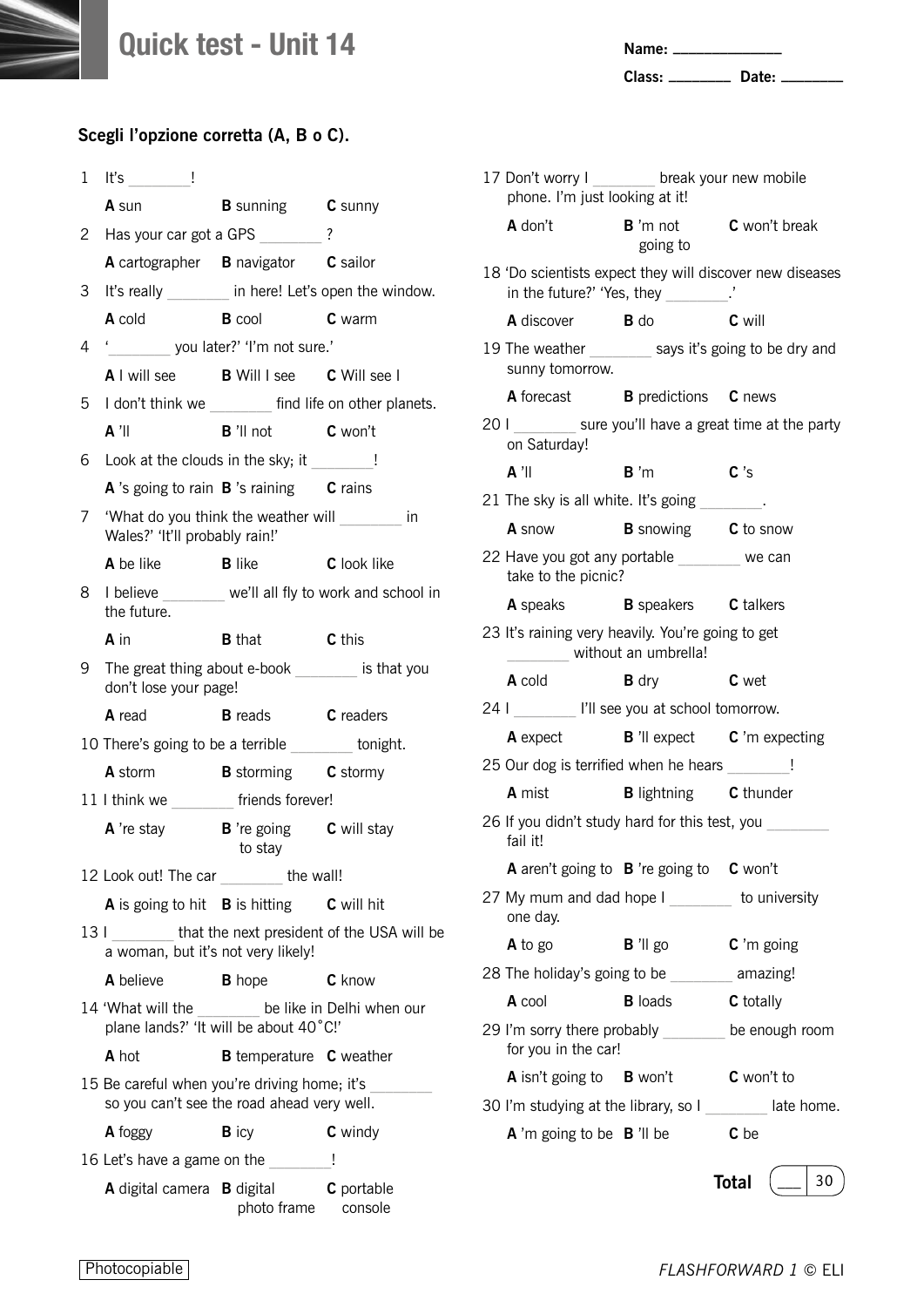

| Name: |  |
|-------|--|
|       |  |
|       |  |

**Class: \_\_\_\_\_\_\_\_ Date: \_\_\_\_\_\_\_\_**

| 1  | Ţ<br>It's the control of the control of the control of the control of the control of the control of the control of the control of the control of the control of the control of the control of the control of the control of the con |                                       |                                                            |
|----|-------------------------------------------------------------------------------------------------------------------------------------------------------------------------------------------------------------------------------------|---------------------------------------|------------------------------------------------------------|
|    | <b>A</b> sun                                                                                                                                                                                                                        | <b>B</b> sunning <b>C</b> sunny       |                                                            |
| 2  | Has your car got a GPS ______?                                                                                                                                                                                                      |                                       |                                                            |
|    | A cartographer B navigator C sailor                                                                                                                                                                                                 |                                       |                                                            |
| 3  |                                                                                                                                                                                                                                     |                                       | It's really ________ in here! Let's open the window.       |
|    | <b>A</b> cold                                                                                                                                                                                                                       | <b>B</b> cool <b>C</b> warm           |                                                            |
| 4  | ' you later?' 'I'm not sure.'                                                                                                                                                                                                       |                                       |                                                            |
|    | A I will see B Will I see C Will see I                                                                                                                                                                                              |                                       |                                                            |
| 5  |                                                                                                                                                                                                                                     |                                       | I don't think we _______ find life on other planets.       |
|    | $A'$ ll                                                                                                                                                                                                                             | <b>B</b> 'll not <b>C</b> won't       |                                                            |
| 6  | Look at the clouds in the sky; it                                                                                                                                                                                                   |                                       |                                                            |
|    | A 's going to rain B 's raining C rains                                                                                                                                                                                             |                                       |                                                            |
| 7  | 'What do you think the weather will in<br>Wales?' 'It'll probably rain!'                                                                                                                                                            |                                       |                                                            |
|    | A be like                                                                                                                                                                                                                           | <b>B</b> like                         | C look like                                                |
| 8. | the future.                                                                                                                                                                                                                         |                                       | I believe ______ we'll all fly to work and school in       |
|    | A in                                                                                                                                                                                                                                | <b>B</b> that                         | C this                                                     |
| 9. | The great thing about e-book ________ is that you<br>don't lose your page!                                                                                                                                                          |                                       |                                                            |
|    | <b>A</b> read                                                                                                                                                                                                                       | <b>B</b> reads <b>C</b> readers       |                                                            |
|    | 10 There's going to be a terrible _______ tonight.                                                                                                                                                                                  |                                       |                                                            |
|    | <b>A</b> storm <b>B</b> storming <b>C</b> stormy                                                                                                                                                                                    |                                       |                                                            |
|    | 11 I think we _______ friends forever!                                                                                                                                                                                              |                                       |                                                            |
|    | <b>A</b> 're stay <b>B</b> 're going <b>C</b> will stay                                                                                                                                                                             | to stay                               |                                                            |
|    | 12 Look out! The car                                                                                                                                                                                                                | the wall!                             |                                                            |
|    | A is going to hit <b>B</b> is hitting <b>C</b> will hit                                                                                                                                                                             |                                       |                                                            |
|    | a woman, but it's not very likely!                                                                                                                                                                                                  |                                       | 13 I __________ that the next president of the USA will be |
|    | A believe                                                                                                                                                                                                                           | <b>B</b> hope                         | C know                                                     |
|    | 14 'What will the _______ be like in Delhi when our<br>plane lands?' 'It will be about 40°C!'                                                                                                                                       |                                       |                                                            |
|    | A hot                                                                                                                                                                                                                               | <b>B</b> temperature <b>C</b> weather |                                                            |
|    | 15 Be careful when you're driving home; it's<br>so you can't see the road ahead very well.                                                                                                                                          |                                       |                                                            |
|    | A foggy                                                                                                                                                                                                                             | <b>B</b> icy                          | C windy                                                    |
|    | 16 Let's have a game on the                                                                                                                                                                                                         |                                       | $\frac{1}{2}$                                              |
|    | A digital camera <b>B</b> digital <b>C</b> portable                                                                                                                                                                                 | photo frame                           | console                                                    |

| 17 Don't worry I _______ break your new mobile<br>phone. I'm just looking at it! |                                                  |                                                          |
|----------------------------------------------------------------------------------|--------------------------------------------------|----------------------------------------------------------|
| A don't                                                                          | <b>B</b> 'm not <b>C</b> won't break<br>going to |                                                          |
| in the future?' 'Yes, they ________.'                                            |                                                  | 18 'Do scientists expect they will discover new diseases |
| A discover <b>B</b> do                                                           |                                                  | C will                                                   |
| 19 The weather ________ says it's going to be dry and<br>sunny tomorrow.         |                                                  |                                                          |
| A forecast <b>B</b> predictions <b>C</b> news                                    |                                                  |                                                          |
| on Saturday!                                                                     |                                                  | 201 ________ sure you'll have a great time at the party  |
| $A'$ ll                                                                          | $B^{\prime}$ m                                   | C's                                                      |
| 21 The sky is all white. It's going _______.                                     |                                                  |                                                          |
| <b>A</b> snow                                                                    | <b>B</b> snowing <b>C</b> to snow                |                                                          |
| 22 Have you got any portable we can<br>take to the picnic?                       |                                                  |                                                          |
| <b>A</b> speaks <b>B</b> speakers <b>C</b> talkers                               |                                                  |                                                          |
| 23 It's raining very heavily. You're going to get                                | without an umbrella!                             |                                                          |
| <b>A</b> cold                                                                    | $\mathbf{B}$ dry                                 | C wet                                                    |
| 24 I VII see you at school tomorrow.                                             |                                                  |                                                          |
| <b>A</b> expect <b>B</b> 'Il expect <b>C</b> 'm expecting                        |                                                  |                                                          |
| 25 Our dog is terrified when he hears [159]                                      |                                                  |                                                          |
| <b>A</b> mist                                                                    | <b>B</b> lightning <b>C</b> thunder              |                                                          |
| 26 If you didn't study hard for this test, you<br>fail it!                       |                                                  |                                                          |
| <b>A</b> aren't going to <b>B</b> 're going to                                   |                                                  | C won't                                                  |
| 27 My mum and dad hope I<br>one day.                                             |                                                  | to university                                            |
| A to go                                                                          | $B'$ ll go                                       | $C'$ m going                                             |
| 28 The holiday's going to be earning!                                            |                                                  |                                                          |
| A cool                                                                           | <b>B</b> loads                                   | C totally                                                |
| 29 I'm sorry there probably _______ be enough room<br>for you in the car!        |                                                  |                                                          |
| <b>A</b> isn't going to <b>B</b> won't                                           |                                                  | C won't to                                               |
|                                                                                  |                                                  | 30 I'm studying at the library, so I late home.          |
| <b>A</b> 'm going to be $\,$ <b>B</b> 'll be                                     |                                                  | C be                                                     |
|                                                                                  |                                                  | <b>Total</b><br>30                                       |